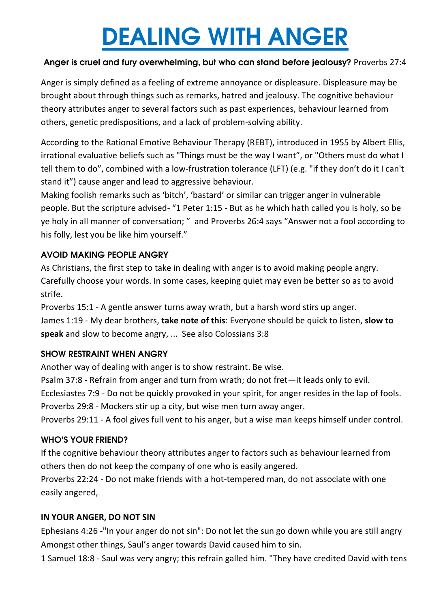# DEALING WITH ANGER

### Anger is cruel and fury overwhelming, but who can stand before jealousy? Proverbs 27:4

Anger is simply defined as a feeling of extreme annoyance or displeasure. Displeasure may be brought about through things such as remarks, hatred and jealousy. The cognitive behaviour theory attributes anger to several factors such as past experiences, behaviour learned from others, genetic predispositions, and a lack of problem-solving ability.

According to the Rational Emotive Behaviour Therapy (REBT), introduced in 1955 by Albert Ellis, irrational evaluative beliefs such as "Things must be the way I want", or "Others must do what I tell them to do", combined with a low-frustration tolerance (LFT) (e.g. "if they don't do it I can't stand it") cause anger and lead to aggressive behaviour.

Making foolish remarks such as 'bitch', 'bastard' or similar can trigger anger in vulnerable people. But the scripture advised- "1 Peter 1:15 - But as he which hath called you is holy, so be ye holy in all manner of conversation; " and Proverbs 26:4 says "Answer not a fool according to his folly, lest you be like him yourself."

### AVOID MAKING PEOPLE ANGRY

As Christians, the first step to take in dealing with anger is to avoid making people angry. Carefully choose your words. In some cases, keeping quiet may even be better so as to avoid strife.

Proverbs 15:1 - A gentle answer turns away wrath, but a harsh word stirs up anger. James 1:19 - My dear brothers, **take note of this**: Everyone should be quick to listen, **slow to speak** and slow to become angry, ... See also Colossians 3:8

### SHOW RESTRAINT WHEN ANGRY

Another way of dealing with anger is to show restraint. Be wise.

Psalm 37:8 - Refrain from anger and turn from wrath; do not fret—it leads only to evil.

Ecclesiastes 7:9 - Do not be quickly provoked in your spirit, for anger resides in the lap of fools. Proverbs 29:8 - Mockers stir up a city, but wise men turn away anger.

Proverbs 29:11 - A fool gives full vent to his anger, but a wise man keeps himself under control.

#### WHO'S YOUR FRIEND?

If the cognitive behaviour theory attributes anger to factors such as behaviour learned from others then do not keep the company of one who is easily angered.

Proverbs 22:24 - Do not make friends with a hot-tempered man, do not associate with one easily angered,

### **IN YOUR ANGER, DO NOT SIN**

Ephesians 4:26 -"In your anger do not sin": Do not let the sun go down while you are still angry Amongst other things, Saul's anger towards David caused him to sin.

1 Samuel 18:8 - Saul was very angry; this refrain galled him. "They have credited David with tens